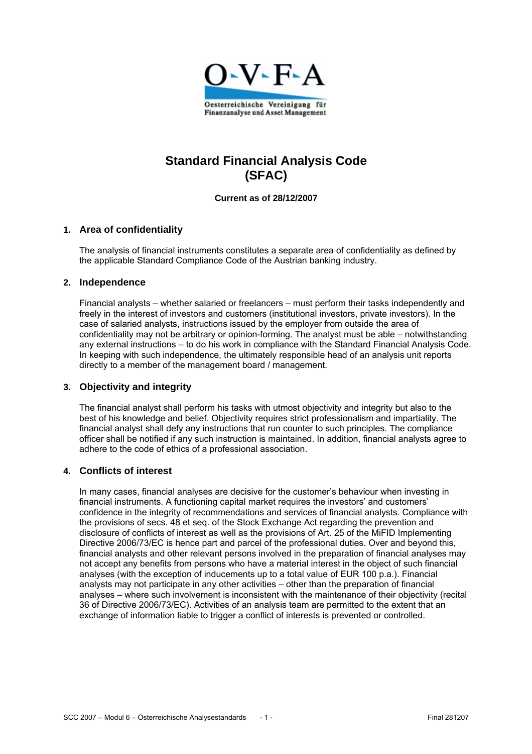

# **Standard Financial Analysis Code (SFAC)**

**Current as of 28/12/2007** 

#### **1. Area of confidentiality**

The analysis of financial instruments constitutes a separate area of confidentiality as defined by the applicable Standard Compliance Code of the Austrian banking industry.

#### **2. Independence**

Financial analysts – whether salaried or freelancers – must perform their tasks independently and freely in the interest of investors and customers (institutional investors, private investors). In the case of salaried analysts, instructions issued by the employer from outside the area of confidentiality may not be arbitrary or opinion-forming. The analyst must be able – notwithstanding any external instructions – to do his work in compliance with the Standard Financial Analysis Code. In keeping with such independence, the ultimately responsible head of an analysis unit reports directly to a member of the management board / management.

#### **3. Objectivity and integrity**

The financial analyst shall perform his tasks with utmost objectivity and integrity but also to the best of his knowledge and belief. Objectivity requires strict professionalism and impartiality. The financial analyst shall defy any instructions that run counter to such principles. The compliance officer shall be notified if any such instruction is maintained. In addition, financial analysts agree to adhere to the code of ethics of a professional association.

#### **4. Conflicts of interest**

In many cases, financial analyses are decisive for the customer's behaviour when investing in financial instruments. A functioning capital market requires the investors' and customers' confidence in the integrity of recommendations and services of financial analysts. Compliance with the provisions of secs. 48 et seq. of the Stock Exchange Act regarding the prevention and disclosure of conflicts of interest as well as the provisions of Art. 25 of the MiFID Implementing Directive 2006/73/EC is hence part and parcel of the professional duties. Over and beyond this, financial analysts and other relevant persons involved in the preparation of financial analyses may not accept any benefits from persons who have a material interest in the object of such financial analyses (with the exception of inducements up to a total value of EUR 100 p.a.). Financial analysts may not participate in any other activities – other than the preparation of financial analyses – where such involvement is inconsistent with the maintenance of their objectivity (recital 36 of Directive 2006/73/EC). Activities of an analysis team are permitted to the extent that an exchange of information liable to trigger a conflict of interests is prevented or controlled.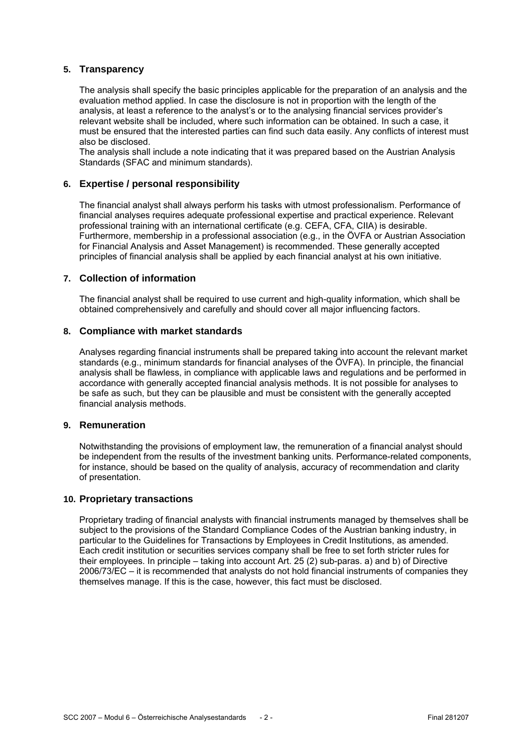#### **5. Transparency**

The analysis shall specify the basic principles applicable for the preparation of an analysis and the evaluation method applied. In case the disclosure is not in proportion with the length of the analysis, at least a reference to the analyst's or to the analysing financial services provider's relevant website shall be included, where such information can be obtained. In such a case, it must be ensured that the interested parties can find such data easily. Any conflicts of interest must also be disclosed.

The analysis shall include a note indicating that it was prepared based on the Austrian Analysis Standards (SFAC and minimum standards).

#### **6. Expertise / personal responsibility**

The financial analyst shall always perform his tasks with utmost professionalism. Performance of financial analyses requires adequate professional expertise and practical experience. Relevant professional training with an international certificate (e.g. CEFA, CFA, CIIA) is desirable. Furthermore, membership in a professional association (e.g., in the ÖVFA or Austrian Association for Financial Analysis and Asset Management) is recommended. These generally accepted principles of financial analysis shall be applied by each financial analyst at his own initiative.

#### **7. Collection of information**

The financial analyst shall be required to use current and high-quality information, which shall be obtained comprehensively and carefully and should cover all major influencing factors.

#### **8. Compliance with market standards**

Analyses regarding financial instruments shall be prepared taking into account the relevant market standards (e.g., minimum standards for financial analyses of the ÖVFA). In principle, the financial analysis shall be flawless, in compliance with applicable laws and regulations and be performed in accordance with generally accepted financial analysis methods. It is not possible for analyses to be safe as such, but they can be plausible and must be consistent with the generally accepted financial analysis methods.

#### **9. Remuneration**

Notwithstanding the provisions of employment law, the remuneration of a financial analyst should be independent from the results of the investment banking units. Performance-related components, for instance, should be based on the quality of analysis, accuracy of recommendation and clarity of presentation.

#### **10. Proprietary transactions**

Proprietary trading of financial analysts with financial instruments managed by themselves shall be subject to the provisions of the Standard Compliance Codes of the Austrian banking industry, in particular to the Guidelines for Transactions by Employees in Credit Institutions, as amended. Each credit institution or securities services company shall be free to set forth stricter rules for their employees. In principle – taking into account Art. 25 (2) sub-paras. a) and b) of Directive 2006/73/EC – it is recommended that analysts do not hold financial instruments of companies they themselves manage. If this is the case, however, this fact must be disclosed.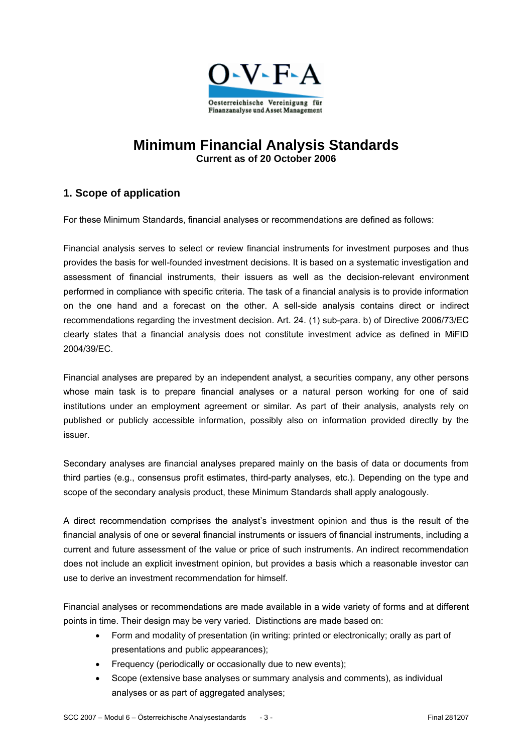

# **Minimum Financial Analysis Standards Current as of 20 October 2006**

# **1. Scope of application**

For these Minimum Standards, financial analyses or recommendations are defined as follows:

Financial analysis serves to select or review financial instruments for investment purposes and thus provides the basis for well-founded investment decisions. It is based on a systematic investigation and assessment of financial instruments, their issuers as well as the decision-relevant environment performed in compliance with specific criteria. The task of a financial analysis is to provide information on the one hand and a forecast on the other. A sell-side analysis contains direct or indirect recommendations regarding the investment decision. Art. 24. (1) sub-para. b) of Directive 2006/73/EC clearly states that a financial analysis does not constitute investment advice as defined in MiFID 2004/39/EC.

Financial analyses are prepared by an independent analyst, a securities company, any other persons whose main task is to prepare financial analyses or a natural person working for one of said institutions under an employment agreement or similar. As part of their analysis, analysts rely on published or publicly accessible information, possibly also on information provided directly by the issuer.

Secondary analyses are financial analyses prepared mainly on the basis of data or documents from third parties (e.g., consensus profit estimates, third-party analyses, etc.). Depending on the type and scope of the secondary analysis product, these Minimum Standards shall apply analogously.

A direct recommendation comprises the analyst's investment opinion and thus is the result of the financial analysis of one or several financial instruments or issuers of financial instruments, including a current and future assessment of the value or price of such instruments. An indirect recommendation does not include an explicit investment opinion, but provides a basis which a reasonable investor can use to derive an investment recommendation for himself.

Financial analyses or recommendations are made available in a wide variety of forms and at different points in time. Their design may be very varied. Distinctions are made based on:

- Form and modality of presentation (in writing: printed or electronically; orally as part of presentations and public appearances);
- Frequency (periodically or occasionally due to new events);
- Scope (extensive base analyses or summary analysis and comments), as individual analyses or as part of aggregated analyses;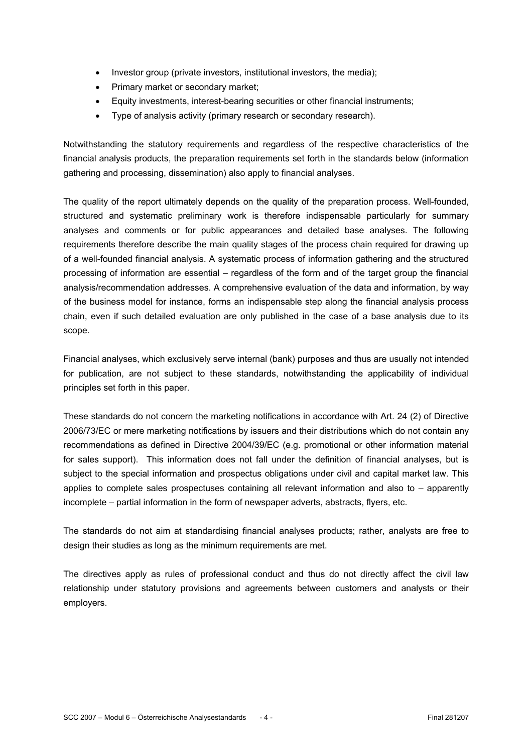- Investor group (private investors, institutional investors, the media);
- Primary market or secondary market;
- Equity investments, interest-bearing securities or other financial instruments;
- Type of analysis activity (primary research or secondary research).

Notwithstanding the statutory requirements and regardless of the respective characteristics of the financial analysis products, the preparation requirements set forth in the standards below (information gathering and processing, dissemination) also apply to financial analyses.

The quality of the report ultimately depends on the quality of the preparation process. Well-founded, structured and systematic preliminary work is therefore indispensable particularly for summary analyses and comments or for public appearances and detailed base analyses. The following requirements therefore describe the main quality stages of the process chain required for drawing up of a well-founded financial analysis. A systematic process of information gathering and the structured processing of information are essential – regardless of the form and of the target group the financial analysis/recommendation addresses. A comprehensive evaluation of the data and information, by way of the business model for instance, forms an indispensable step along the financial analysis process chain, even if such detailed evaluation are only published in the case of a base analysis due to its scope.

Financial analyses, which exclusively serve internal (bank) purposes and thus are usually not intended for publication, are not subject to these standards, notwithstanding the applicability of individual principles set forth in this paper.

These standards do not concern the marketing notifications in accordance with Art. 24 (2) of Directive 2006/73/EC or mere marketing notifications by issuers and their distributions which do not contain any recommendations as defined in Directive 2004/39/EC (e.g. promotional or other information material for sales support). This information does not fall under the definition of financial analyses, but is subject to the special information and prospectus obligations under civil and capital market law. This applies to complete sales prospectuses containing all relevant information and also to – apparently incomplete – partial information in the form of newspaper adverts, abstracts, flyers, etc.

The standards do not aim at standardising financial analyses products; rather, analysts are free to design their studies as long as the minimum requirements are met.

The directives apply as rules of professional conduct and thus do not directly affect the civil law relationship under statutory provisions and agreements between customers and analysts or their employers.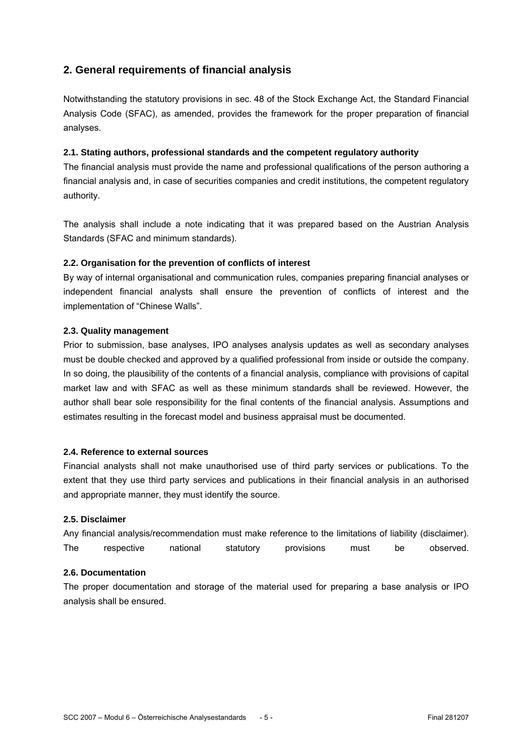# **2. General requirements of financial analysis**

Notwithstanding the statutory provisions in sec. 48 of the Stock Exchange Act, the Standard Financial Analysis Code (SFAC), as amended, provides the framework for the proper preparation of financial analyses.

#### **2.1. Stating authors, professional standards and the competent regulatory authority**

The financial analysis must provide the name and professional qualifications of the person authoring a financial analysis and, in case of securities companies and credit institutions, the competent regulatory authority.

The analysis shall include a note indicating that it was prepared based on the Austrian Analysis Standards (SFAC and minimum standards).

### **2.2. Organisation for the prevention of conflicts of interest**

By way of internal organisational and communication rules, companies preparing financial analyses or independent financial analysts shall ensure the prevention of conflicts of interest and the implementation of "Chinese Walls".

#### **2.3. Quality management**

Prior to submission, base analyses, IPO analyses analysis updates as well as secondary analyses must be double checked and approved by a qualified professional from inside or outside the company. In so doing, the plausibility of the contents of a financial analysis, compliance with provisions of capital market law and with SFAC as well as these minimum standards shall be reviewed. However, the author shall bear sole responsibility for the final contents of the financial analysis. Assumptions and estimates resulting in the forecast model and business appraisal must be documented.

#### **2.4. Reference to external sources**

Financial analysts shall not make unauthorised use of third party services or publications. To the extent that they use third party services and publications in their financial analysis in an authorised and appropriate manner, they must identify the source.

#### **2.5. Disclaimer**

Any financial analysis/recommendation must make reference to the limitations of liability (disclaimer). The respective national statutory provisions must be observed.

### **2.6. Documentation**

The proper documentation and storage of the material used for preparing a base analysis or IPO analysis shall be ensured.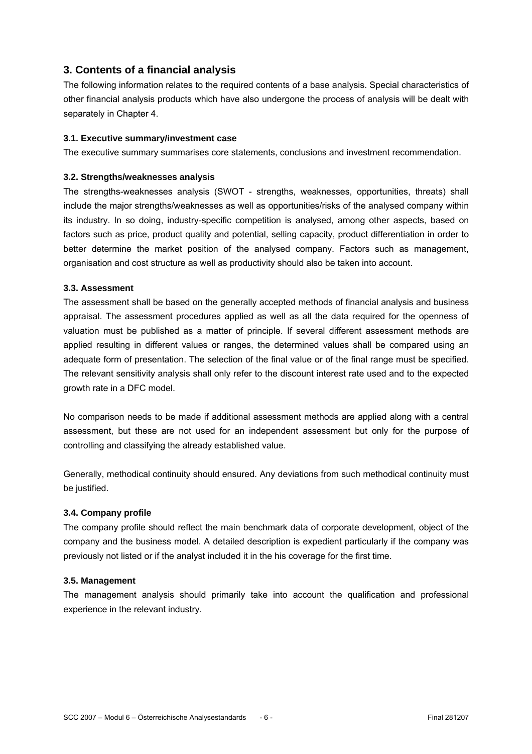# **3. Contents of a financial analysis**

The following information relates to the required contents of a base analysis. Special characteristics of other financial analysis products which have also undergone the process of analysis will be dealt with separately in Chapter 4.

### **3.1. Executive summary/investment case**

The executive summary summarises core statements, conclusions and investment recommendation.

#### **3.2. Strengths/weaknesses analysis**

The strengths-weaknesses analysis (SWOT - strengths, weaknesses, opportunities, threats) shall include the major strengths/weaknesses as well as opportunities/risks of the analysed company within its industry. In so doing, industry-specific competition is analysed, among other aspects, based on factors such as price, product quality and potential, selling capacity, product differentiation in order to better determine the market position of the analysed company. Factors such as management, organisation and cost structure as well as productivity should also be taken into account.

### **3.3. Assessment**

The assessment shall be based on the generally accepted methods of financial analysis and business appraisal. The assessment procedures applied as well as all the data required for the openness of valuation must be published as a matter of principle. If several different assessment methods are applied resulting in different values or ranges, the determined values shall be compared using an adequate form of presentation. The selection of the final value or of the final range must be specified. The relevant sensitivity analysis shall only refer to the discount interest rate used and to the expected growth rate in a DFC model.

No comparison needs to be made if additional assessment methods are applied along with a central assessment, but these are not used for an independent assessment but only for the purpose of controlling and classifying the already established value.

Generally, methodical continuity should ensured. Any deviations from such methodical continuity must be justified.

#### **3.4. Company profile**

The company profile should reflect the main benchmark data of corporate development, object of the company and the business model. A detailed description is expedient particularly if the company was previously not listed or if the analyst included it in the his coverage for the first time.

#### **3.5. Management**

The management analysis should primarily take into account the qualification and professional experience in the relevant industry.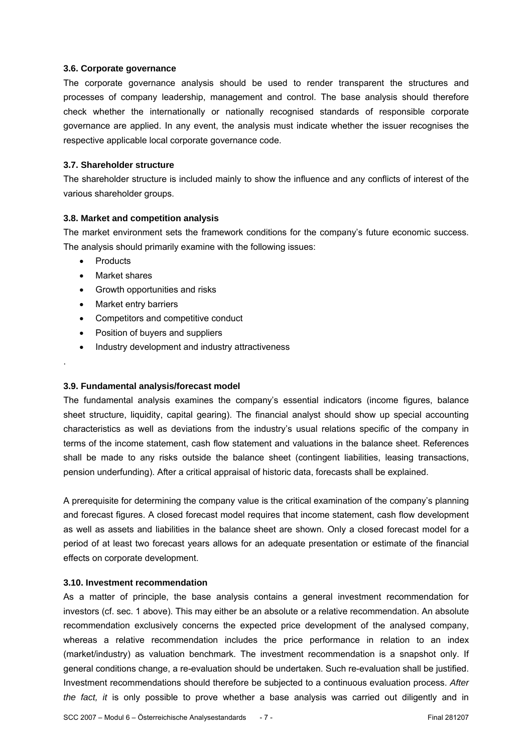#### **3.6. Corporate governance**

The corporate governance analysis should be used to render transparent the structures and processes of company leadership, management and control. The base analysis should therefore check whether the internationally or nationally recognised standards of responsible corporate governance are applied. In any event, the analysis must indicate whether the issuer recognises the respective applicable local corporate governance code.

#### **3.7. Shareholder structure**

The shareholder structure is included mainly to show the influence and any conflicts of interest of the various shareholder groups.

#### **3.8. Market and competition analysis**

The market environment sets the framework conditions for the company's future economic success. The analysis should primarily examine with the following issues:

• Products

.

- Market shares
- Growth opportunities and risks
- Market entry barriers
- Competitors and competitive conduct
- Position of buyers and suppliers
- Industry development and industry attractiveness

#### **3.9. Fundamental analysis/forecast model**

The fundamental analysis examines the company's essential indicators (income figures, balance sheet structure, liquidity, capital gearing). The financial analyst should show up special accounting characteristics as well as deviations from the industry's usual relations specific of the company in terms of the income statement, cash flow statement and valuations in the balance sheet. References shall be made to any risks outside the balance sheet (contingent liabilities, leasing transactions, pension underfunding). After a critical appraisal of historic data, forecasts shall be explained.

A prerequisite for determining the company value is the critical examination of the company's planning and forecast figures. A closed forecast model requires that income statement, cash flow development as well as assets and liabilities in the balance sheet are shown. Only a closed forecast model for a period of at least two forecast years allows for an adequate presentation or estimate of the financial effects on corporate development.

#### **3.10. Investment recommendation**

As a matter of principle, the base analysis contains a general investment recommendation for investors (cf. sec. 1 above). This may either be an absolute or a relative recommendation. An absolute recommendation exclusively concerns the expected price development of the analysed company, whereas a relative recommendation includes the price performance in relation to an index (market/industry) as valuation benchmark. The investment recommendation is a snapshot only. If general conditions change, a re-evaluation should be undertaken. Such re-evaluation shall be justified. Investment recommendations should therefore be subjected to a continuous evaluation process. *After the fact, it* is only possible to prove whether a base analysis was carried out diligently and in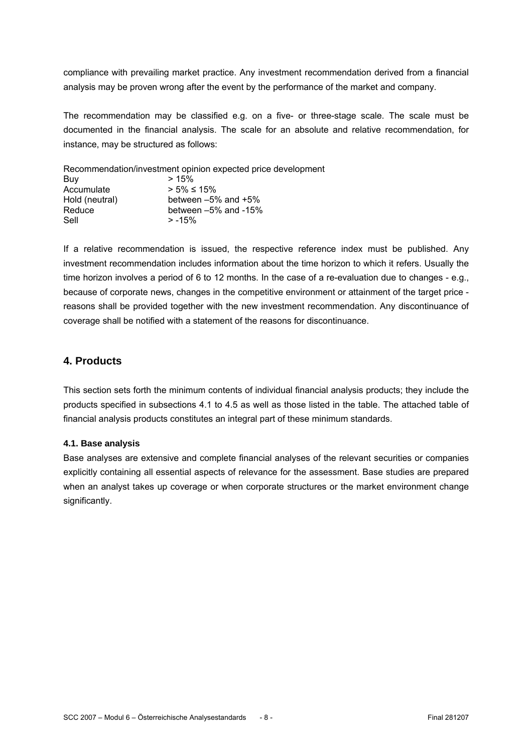compliance with prevailing market practice. Any investment recommendation derived from a financial analysis may be proven wrong after the event by the performance of the market and company.

The recommendation may be classified e.g. on a five- or three-stage scale. The scale must be documented in the financial analysis. The scale for an absolute and relative recommendation, for instance, may be structured as follows:

Recommendation/investment opinion expected price development

| >15%                       |
|----------------------------|
| $> 5\% \le 15\%$           |
| between $-5\%$ and $+5\%$  |
| between $-5\%$ and $-15\%$ |
| $> -15%$                   |
|                            |

If a relative recommendation is issued, the respective reference index must be published. Any investment recommendation includes information about the time horizon to which it refers. Usually the time horizon involves a period of 6 to 12 months. In the case of a re-evaluation due to changes - e.g., because of corporate news, changes in the competitive environment or attainment of the target price reasons shall be provided together with the new investment recommendation. Any discontinuance of coverage shall be notified with a statement of the reasons for discontinuance.

## **4. Products**

This section sets forth the minimum contents of individual financial analysis products; they include the products specified in subsections 4.1 to 4.5 as well as those listed in the table. The attached table of financial analysis products constitutes an integral part of these minimum standards.

#### **4.1. Base analysis**

Base analyses are extensive and complete financial analyses of the relevant securities or companies explicitly containing all essential aspects of relevance for the assessment. Base studies are prepared when an analyst takes up coverage or when corporate structures or the market environment change significantly.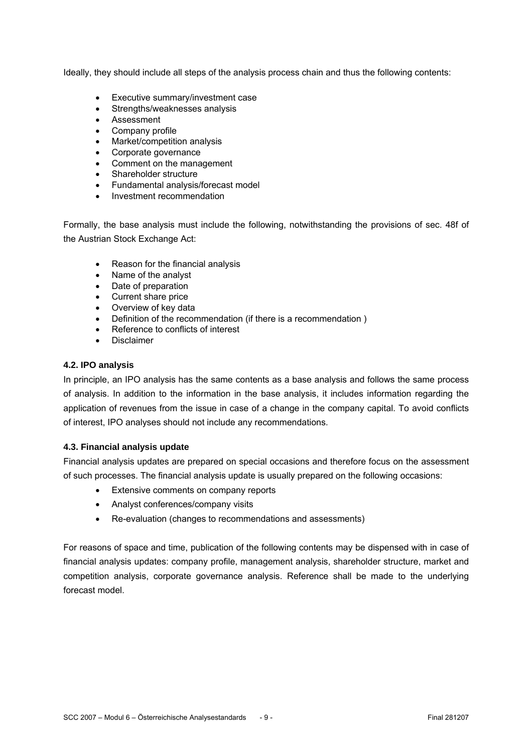Ideally, they should include all steps of the analysis process chain and thus the following contents:

- Executive summary/investment case
- Strengths/weaknesses analysis
- Assessment
- Company profile
- Market/competition analysis
- Corporate governance
- Comment on the management
- Shareholder structure
- Fundamental analysis/forecast model
- Investment recommendation

Formally, the base analysis must include the following, notwithstanding the provisions of sec. 48f of the Austrian Stock Exchange Act:

- Reason for the financial analysis
- Name of the analyst
- Date of preparation
- Current share price
- Overview of key data
- Definition of the recommendation (if there is a recommendation )
- Reference to conflicts of interest
- Disclaimer

#### **4.2. IPO analysis**

In principle, an IPO analysis has the same contents as a base analysis and follows the same process of analysis. In addition to the information in the base analysis, it includes information regarding the application of revenues from the issue in case of a change in the company capital. To avoid conflicts of interest, IPO analyses should not include any recommendations.

#### **4.3. Financial analysis update**

Financial analysis updates are prepared on special occasions and therefore focus on the assessment of such processes. The financial analysis update is usually prepared on the following occasions:

- Extensive comments on company reports
- Analyst conferences/company visits
- Re-evaluation (changes to recommendations and assessments)

For reasons of space and time, publication of the following contents may be dispensed with in case of financial analysis updates: company profile, management analysis, shareholder structure, market and competition analysis, corporate governance analysis. Reference shall be made to the underlying forecast model.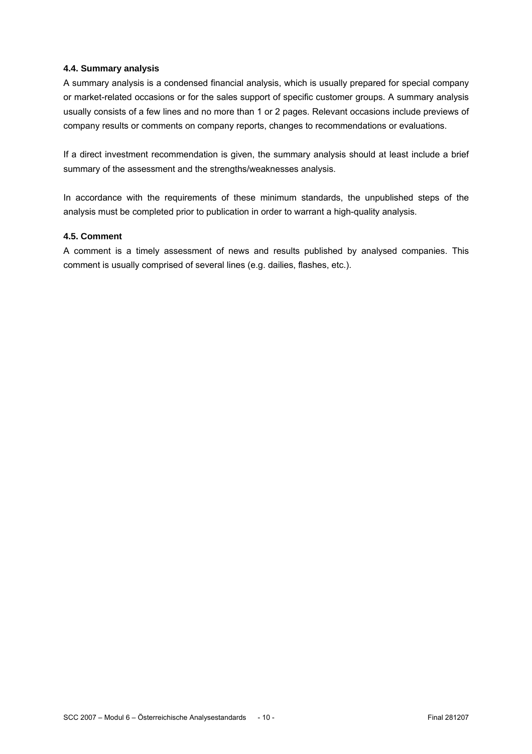#### **4.4. Summary analysis**

A summary analysis is a condensed financial analysis, which is usually prepared for special company or market-related occasions or for the sales support of specific customer groups. A summary analysis usually consists of a few lines and no more than 1 or 2 pages. Relevant occasions include previews of company results or comments on company reports, changes to recommendations or evaluations.

If a direct investment recommendation is given, the summary analysis should at least include a brief summary of the assessment and the strengths/weaknesses analysis.

In accordance with the requirements of these minimum standards, the unpublished steps of the analysis must be completed prior to publication in order to warrant a high-quality analysis.

#### **4.5. Comment**

A comment is a timely assessment of news and results published by analysed companies. This comment is usually comprised of several lines (e.g. dailies, flashes, etc.).